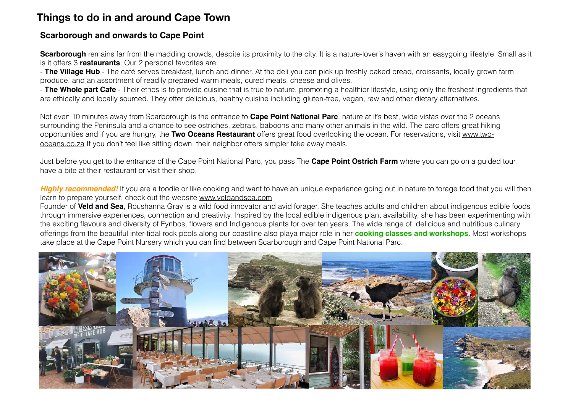## **Things to do in and around Cape Town**

#### **Scarborough and onwards to Cape Point**

**Scarborough** remains far from the madding crowds, despite its proximity to the city. It is a nature-lover's haven with an easygoing lifestyle. Small as it is it offers 3 **restaurants**. Our 2 personal favorites are:

- **The Village Hub** - The café serves breakfast, lunch and dinner. At the deli you can pick up freshly baked bread, croissants, locally grown farm produce, and an assortment of readily prepared warm meals, cured meats, cheese and olives.

- **The Whole part Cafe** - Their ethos is to provide cuisine that is true to nature, promoting a healthier lifestyle, using only the freshest ingredients that are ethically and locally sourced. They offer delicious, healthy cuisine including gluten-free, vegan, raw and other dietary alternatives.

Not even 10 minutes away from Scarborough is the entrance to **Cape Point National Parc**, nature at it's best, wide vistas over the 2 oceans surrounding the Peninsula and a chance to see ostriches, zebra's, baboons and many other animals in the wild. The parc offers great hiking opportunities and if you are hungry, the **Two Oceans Restaurant** offers great food overlooking the ocean. For reservations, visit www.twooceans.co.za If you don't feel like sitting down, their neighbor offers simpler take away meals.

Just before you get to the entrance of the Cape Point National Parc, you pass The **Cape Point Ostrich Farm** where you can go on a guided tour, have a bite at their restaurant or visit their shop.

**Highly recommended!** If you are a foodie or like cooking and want to have an unique experience going out in nature to forage food that you will then learn to prepare yourself, check out the website www.veldandsea.com

Founder of **Veld and Sea**, Roushanna Gray is a wild food innovator and avid forager. She teaches adults and children about indigenous edible foods through immersive experiences, connection and creativity. Inspired by the local edible indigenous plant availability, she has been experimenting with the exciting flavours and diversity of Fynbos, flowers and Indigenous plants for over ten years. The wide range of delicious and nutritious culinary offerings from the beautiful inter-tidal rock pools along our coastline also playa major role in her **cooking classes and workshops**. Most workshops take place at the Cape Point Nursery which you can find between Scarborough and Cape Point National Parc.

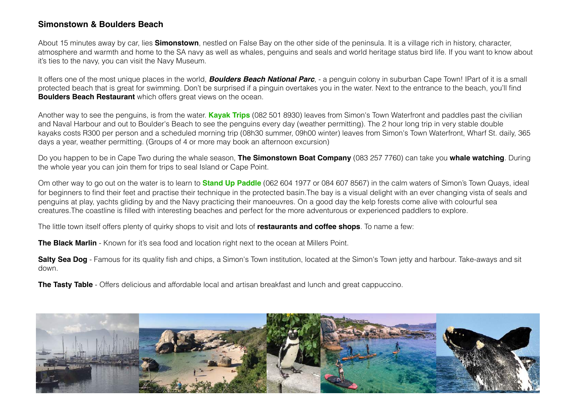### **Simonstown & Boulders Beach**

About 15 minutes away by car, lies **Simonstown**, nestled on False Bay on the other side of the peninsula. It is a village rich in history, character, atmosphere and warmth and home to the SA navy as well as whales, penguins and seals and world heritage status bird life. If you want to know about it's ties to the navy, you can visit the Navy Museum.

It offers one of the most unique places in the world, *Boulders Beach National Parc*, - a penguin colony in suburban Cape Town! IPart of it is a small protected beach that is great for swimming. Don't be surprised if a pinguin overtakes you in the water. Next to the entrance to the beach, you'll find **Boulders Beach Restaurant** which offers great views on the ocean.

Another way to see the penguins, is from the water. **Kayak Trips** (082 501 8930) leaves from Simon's Town Waterfront and paddles past the civilian and Naval Harbour and out to Boulder's Beach to see the penguins every day (weather permitting). The 2 hour long trip in very stable double kayaks costs R300 per person and a scheduled morning trip (08h30 summer, 09h00 winter) leaves from Simon's Town Waterfront, Wharf St. daily, 365 days a year, weather permitting. (Groups of 4 or more may book an afternoon excursion)

Do you happen to be in Cape Two during the whale season, **The Simonstown Boat Company** (083 257 7760) can take you **whale watching**. During the whole year you can join them for trips to seal Island or Cape Point.

Om other way to go out on the water is to learn to **Stand Up Paddle** (062 604 1977 or 084 607 8567) in the calm waters of Simon's Town Quays, ideal for beginners to find their feet and practise their technique in the protected basin.The bay is a visual delight with an ever changing vista of seals and penguins at play, yachts gliding by and the Navy practicing their manoeuvres. On a good day the kelp forests come alive with colourful sea creatures.The coastline is filled with interesting beaches and perfect for the more adventurous or experienced paddlers to explore.

The little town itself offers plenty of quirky shops to visit and lots of **restaurants and coffee shops**. To name a few:

**The Black Marlin** - Known for it's sea food and location right next to the ocean at Millers Point.

**Salty Sea Dog** - Famous for its quality fish and chips, a Simon's Town institution, located at the Simon's Town jetty and harbour. Take-aways and sit down.

**The Tasty Table** - Offers delicious and affordable local and artisan breakfast and lunch and great cappuccino.

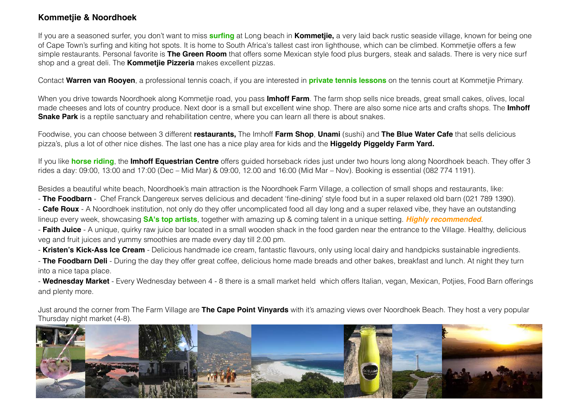### **Kommetjie & Noordhoek**

If you are a seasoned surfer, you don't want to miss **surfing** at Long beach in **Kommetjie,** a very laid back rustic seaside village, known for being one of Cape Town's surfing and kiting hot spots. It is home to South Africa's tallest cast iron lighthouse, which can be climbed. Kommetjie offers a few simple restaurants. Personal favorite is **The Green Room** that offers some Mexican style food plus burgers, steak and salads. There is very nice surf shop and a great deli. The **Kommetjie Pizzeria** makes excellent pizzas.

Contact **Warren van Rooyen**, a professional tennis coach, if you are interested in **private tennis lessons** on the tennis court at Kommetjie Primary.

When you drive towards Noordhoek along Kommetjie road, you pass **Imhoff Farm**. The farm shop sells nice breads, great small cakes, olives, local made cheeses and lots of country produce. Next door is a small but excellent wine shop. There are also some nice arts and crafts shops. The **Imhoff Snake Park** is a reptile sanctuary and rehabilitation centre, where you can learn all there is about snakes.

Foodwise, you can choose between 3 different **restaurants,** The Imhoff **Farm Shop**, **Unami** (sushi) and **The Blue Water Cafe** that sells delicious pizza's, plus a lot of other nice dishes. The last one has a nice play area for kids and the **Higgeldy Piggeldy Farm Yard.** 

If you like **horse riding**, the **Imhoff Equestrian Centre** offers guided horseback rides just under two hours long along Noordhoek beach. They offer 3 rides a day: 09:00, 13:00 and 17:00 (Dec – Mid Mar) & 09:00, 12.00 and 16:00 (Mid Mar – Nov). Booking is essential (082 774 1191).

Besides a beautiful white beach, Noordhoek's main attraction is the Noordhoek Farm Village, a collection of small shops and restaurants, like:

- **The Foodbarn** - Chef Franck Dangereux serves delicious and decadent 'fine-dining' style food but in a super relaxed old barn (021 789 1390).

- **Cafe Roux** - A Noordhoek institution, not only do they offer uncomplicated food all day long and a super relaxed vibe, they have an outstanding lineup every week, showcasing **SA's top artists**, together with amazing up & coming talent in a unique setting. *Highly recommended*.

- **Faith Juice** - A unique, quirky raw juice bar located in a small wooden shack in the food garden near the entrance to the Village. Healthy, delicious veg and fruit juices and yummy smoothies are made every day till 2.00 pm.

- **Kristen's Kick-Ass Ice Cream** - Delicious handmade ice cream, fantastic flavours, only using local dairy and handpicks sustainable ingredients.

- **The Foodbarn Deli** - During the day they offer great coffee, delicious home made breads and other bakes, breakfast and lunch. At night they turn into a nice tapa place.

- **Wednesday Market** - Every Wednesday between 4 - 8 there is a small market held which offers Italian, vegan, Mexican, Potjies, Food Barn offerings and plenty more.

Just around the corner from The Farm Village are **The Cape Point Vinyards** with it's amazing views over Noordhoek Beach. They host a very popular Thursday night market (4-8).

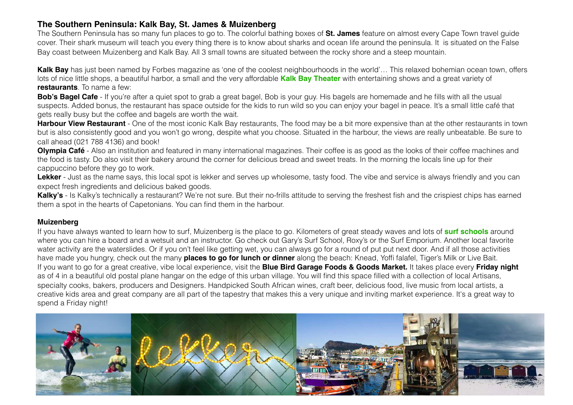### **The Southern Peninsula: Kalk Bay, St. James & Muizenberg**

The Southern Peninsula has so many fun places to go to. The colorful bathing boxes of **St. James** feature on almost every Cape Town travel guide cover. Their shark museum will teach you every thing there is to know about sharks and ocean life around the peninsula. It is situated on the False Bay coast between Muizenberg and Kalk Bay. All 3 small towns are situated between the rocky shore and a steep mountain.

**Kalk Bay** has just been named by Forbes magazine as 'one of the coolest neighbourhoods in the world'… This relaxed bohemian ocean town, offers lots of nice little shops, a beautiful harbor, a small and the very affordable **Kalk Bay Theater** with entertaining shows and a great variety of **restaurants**. To name a few:

**Bob's Bagel Cafe** - If you're after a quiet spot to grab a great bagel. Bob is your guy. His bagels are homemade and he fills with all the usual suspects. Added bonus, the restaurant has space outside for the kids to run wild so you can enjoy your bagel in peace. It's a small little café that gets really busy but the coffee and bagels are worth the wait.

**Harbour View Restaurant** - One of the most iconic Kalk Bay restaurants. The food may be a bit more expensive than at the other restaurants in town but is also consistently good and you won't go wrong, despite what you choose. Situated in the harbour, the views are really unbeatable. Be sure to call ahead (021 788 4136) and book!

**Olympia Café** - Also an institution and featured in many international magazines. Their coffee is as good as the looks of their coffee machines and the food is tasty. Do also visit their bakery around the corner for delicious bread and sweet treats. In the morning the locals line up for their cappuccino before they go to work.

Lekker - Just as the name says, this local spot is lekker and serves up wholesome, tasty food. The vibe and service is always friendly and you can expect fresh ingredients and delicious baked goods.

Kalky's - Is Kalky's technically a restaurant? We're not sure. But their no-frills attitude to serving the freshest fish and the crispiest chips has earned them a spot in the hearts of Capetonians. You can find them in the harbour.

#### **Muizenberg**

If you have always wanted to learn how to surf, Muizenberg is the place to go. Kilometers of great steady waves and lots of **surf schools** around where you can hire a board and a wetsuit and an instructor. Go check out Gary's Surf School, Roxy's or the Surf Emporium. Another local favorite water activity are the waterslides. Or if you on't feel like getting wet, you can always go for a round of put put next door. And if all those activities have made you hungry, check out the many **places to go for lunch or dinner** along the beach: Knead, Yoffi falafel, Tiger's Milk or Live Bait. If you want to go for a great creative, vibe local experience, visit the **Blue Bird Garage Foods & Goods Market.** It takes place every **Friday night** as of 4 in a beautiful old postal plane hangar on the edge of this urban village. You will find this space filled with a collection of local Artisans, specialty cooks, bakers, producers and Designers. Handpicked South African wines, craft beer, delicious food, live music from local artists, a creative kids area and great company are all part of the tapestry that makes this a very unique and inviting market experience. It's a great way to spend a Friday night!

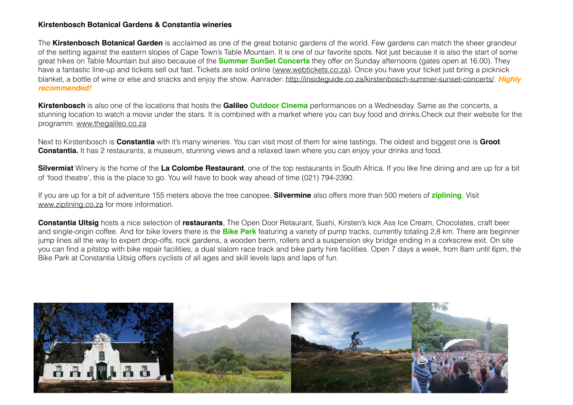#### **Kirstenbosch Botanical Gardens & Constantia wineries**

The **Kirstenbosch Botanical Garden** is acclaimed as one of the great botanic gardens of the world. Few gardens can match the sheer grandeur of the setting against the eastern slopes of Cape Town's Table Mountain. It is one of our favorite spots. Not just because it is also the start of some great hikes on Table Mountain but also because of the **Summer SunSet Concerts** they offer on Sunday afternoons (gates open at 16.00). They have a fantastic line-up and tickets sell out fast. Tickets are sold online (www.webtickets.co.za). Once you have your ticket just bring a picknick blanket, a bottle of wine or else and snacks and enjoy the show. Aanrader: http://insideguide.co.za/kirstenbosch-summer-sunset-concerts/. *Highly recommended!*

**Kirstenbosch** is also one of the locations that hosts the **Galileo Outdoor Cinema** performances on a Wednesday. Same as the concerts, a stunning location to watch a movie under the stars. It is combined with a market where you can buy food and drinks.Check out their website for the programm: www.thegalileo.co.za

Next to Kirstenbosch is **Constantia** with it's many wineries. You can visit most of them for wine tastings. The oldest and biggest one is **Groot Constantia.** It has 2 restaurants, a museum, stunning views and a relaxed lawn where you can enjoy your drinks and food.

**Silvermist** Winery is the home of the **La Colombe Restaurant**, one of the top restaurants in South Africa. If you like fine dining and are up for a bit of 'food theatre', this is the place to go. You will have to book way ahead of time (021) 794-2390.

If you are up for a bit of adventure 155 meters above the tree canopee, **Silvermine** also offers more than 500 meters of **ziplining**. Visit www.ziplining.co.za for more information.

**Constantia Uitsig** hosts a nice selection of **restaurants**, The Open Door Retaurant, Sushi, Kirsten's kick Ass Ice Cream, Chocolates, craft beer and single-origin coffee. And for bike lovers there is the **Bike Park** featuring a variety of pump tracks, currently totaling 2,8 km. There are beginner jump lines all the way to expert drop-offs, rock gardens, a wooden berm, rollers and a suspension sky bridge ending in a corkscrew exit. On site you can find a pitstop with bike repair facilities, a dual slalom race track and bike party hire facilities. Open 7 days a week, from 8am until 6pm, the Bike Park at Constantia Uitsig offers cyclists of all ages and skill levels laps and laps of fun.

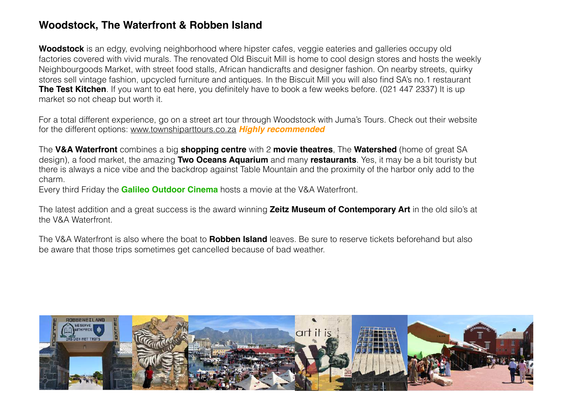## **Woodstock, The Waterfront & Robben Island**

**Woodstock** is an edgy, evolving neighborhood where hipster cafes, veggie eateries and galleries occupy old factories covered with vivid murals. The renovated Old Biscuit Mill is home to cool design stores and hosts the weekly Neighbourgoods Market, with street food stalls, African handicrafts and designer fashion. On nearby streets, quirky stores sell vintage fashion, upcycled furniture and antiques. In the Biscuit Mill you will also find SA's no.1 restaurant **The Test Kitchen**. If you want to eat here, you definitely have to book a few weeks before. (021 447 2337) It is up market so not cheap but worth it.

For a total different experience, go on a street art tour through Woodstock with Juma's Tours. Check out their website for the different options: www.townshiparttours.co.za *Highly recommended* 

The **V&A Waterfront** combines a big **shopping centre** with 2 **movie theatres**, The **Watershed** (home of great SA design), a food market, the amazing **Two Oceans Aquarium** and many **restaurants**. Yes, it may be a bit touristy but there is always a nice vibe and the backdrop against Table Mountain and the proximity of the harbor only add to the charm.

Every third Friday the **Galileo Outdoor Cinema** hosts a movie at the V&A Waterfront.

The latest addition and a great success is the award winning **Zeitz Museum of Contemporary Art** in the old silo's at the V&A Waterfront.

The V&A Waterfront is also where the boat to **Robben Island** leaves. Be sure to reserve tickets beforehand but also be aware that those trips sometimes get cancelled because of bad weather.